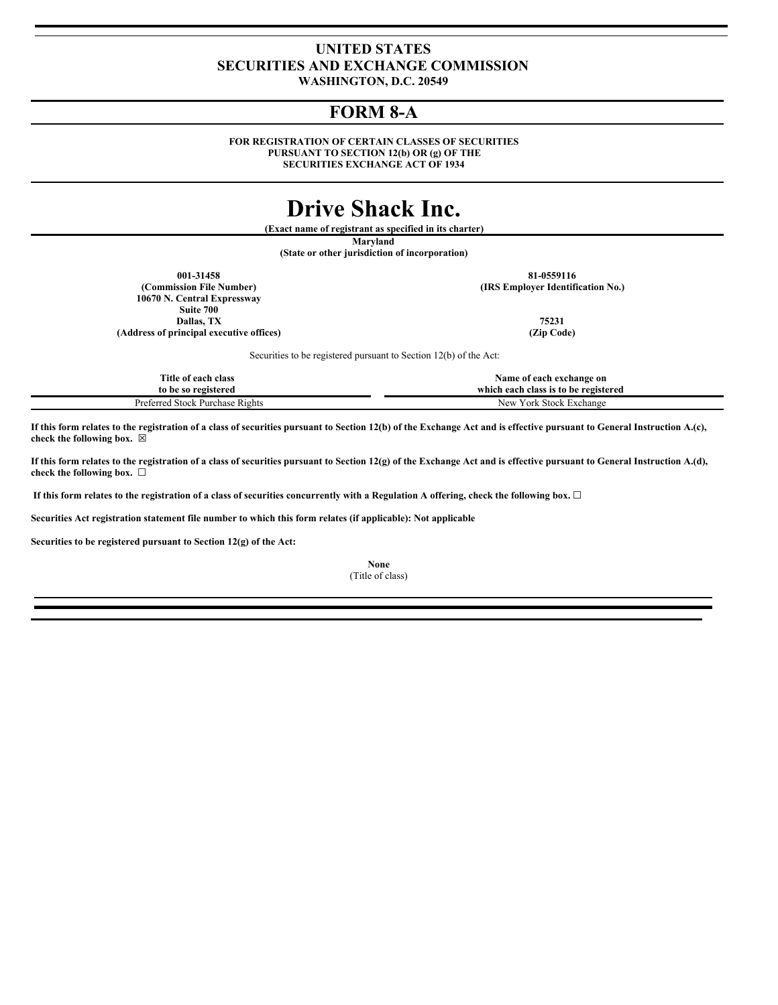# **UNITED STATES SECURITIES AND EXCHANGE COMMISSION**

**WASHINGTON, D.C. 20549**

# **FORM 8-A**

**FOR REGISTRATION OF CERTAIN CLASSES OF SECURITIES PURSUANT TO SECTION 12(b) OR (g) OF THE SECURITIES EXCHANGE ACT OF 1934**

# **Drive Shack Inc.**

**(Exact name of registrant as specified in its charter)**

**Maryland**

**(State or other jurisdiction of incorporation)**

**(Commission File Number) (IRS Employer Identification No.) 10670 N. Central Expressway Suite 700 Dallas, TX** 75231<br> **Participal executive offices** (*Zi*p Code) *Participal executive offices* **(Address of principal executive offices) (Zip Code)**

**001-31458 81-0559116**

Securities to be registered pursuant to Section 12(b) of the Act:

| Title of each class             | Name of each exchange on             |
|---------------------------------|--------------------------------------|
| to be so registered             | which each class is to be registered |
| Preferred Stock Purchase Rights | √ York Stock Exchange<br>New         |

If this form relates to the registration of a class of securities pursuant to Section 12(b) of the Exchange Act and is effective pursuant to General Instruction A.(c), **check the following box.** ☒

If this form relates to the registration of a class of securities pursuant to Section 12(g) of the Exchange Act and is effective pursuant to General Instruction A.(d), **check the following box.** ☐

If this form relates to the registration of a class of securities concurrently with a Regulation A offering, check the following box.  $\Box$ 

**Securities Act registration statement file number to which this form relates (if applicable): Not applicable**

**Securities to be registered pursuant to Section 12(g) of the Act:**

**None** (Title of class)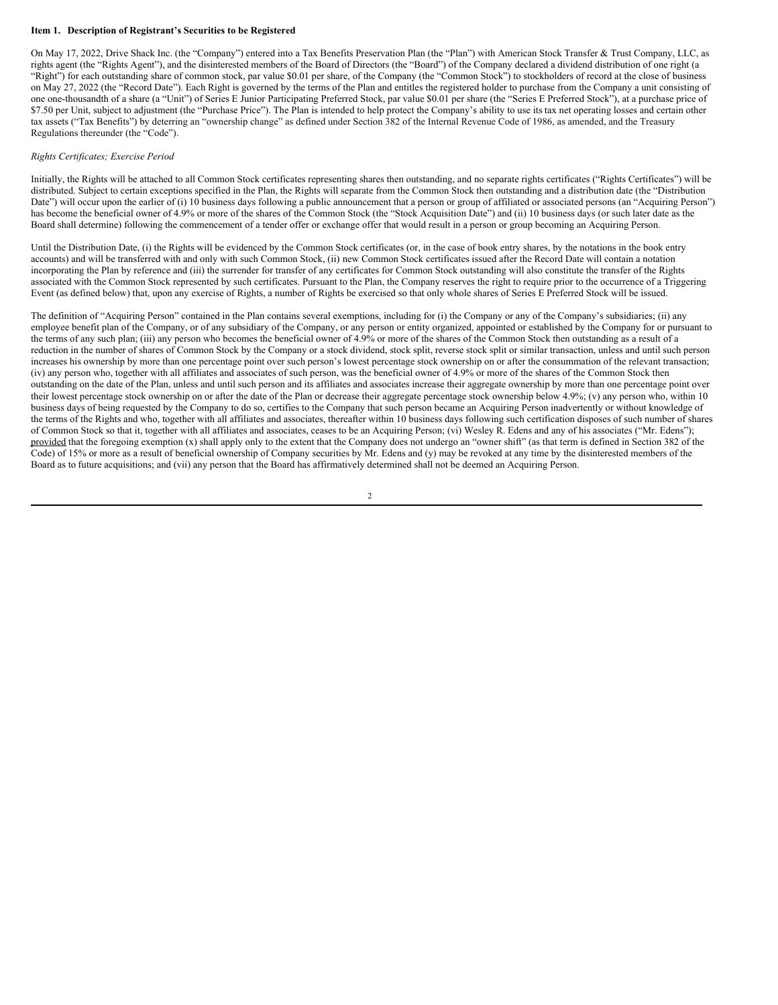#### **Item 1. Description of Registrant's Securities to be Registered**

On May 17, 2022, Drive Shack Inc. (the "Company") entered into a Tax Benefits Preservation Plan (the "Plan") with American Stock Transfer & Trust Company, LLC, as rights agent (the "Rights Agent"), and the disinterested members of the Board of Directors (the "Board") of the Company declared a dividend distribution of one right (a "Right") for each outstanding share of common stock, par value \$0.01 per share, of the Company (the "Common Stock") to stockholders of record at the close of business on May 27, 2022 (the "Record Date"). Each Right is governed by the terms of the Plan and entitles the registered holder to purchase from the Company a unit consisting of one one-thousandth of a share (a "Unit") of Series E Junior Participating Preferred Stock, par value \$0.01 per share (the "Series E Preferred Stock"), at a purchase price of \$7.50 per Unit, subject to adjustment (the "Purchase Price"). The Plan is intended to help protect the Company's ability to use its tax net operating losses and certain other tax assets ("Tax Benefits") by deterring an "ownership change" as defined under Section 382 of the Internal Revenue Code of 1986, as amended, and the Treasury Regulations thereunder (the "Code").

#### *Rights Certificates; Exercise Period*

Initially, the Rights will be attached to all Common Stock certificates representing shares then outstanding, and no separate rights certificates ("Rights Certificates") will be distributed. Subject to certain exceptions specified in the Plan, the Rights will separate from the Common Stock then outstanding and a distribution date (the "Distribution Date") will occur upon the earlier of (i) 10 business days following a public announcement that a person or group of affiliated or associated persons (an "Acquiring Person") has become the beneficial owner of 4.9% or more of the shares of the Common Stock (the "Stock Acquisition Date") and (ii) 10 business days (or such later date as the Board shall determine) following the commencement of a tender offer or exchange offer that would result in a person or group becoming an Acquiring Person.

Until the Distribution Date, (i) the Rights will be evidenced by the Common Stock certificates (or, in the case of book entry shares, by the notations in the book entry accounts) and will be transferred with and only with such Common Stock, (ii) new Common Stock certificates issued after the Record Date will contain a notation incorporating the Plan by reference and (iii) the surrender for transfer of any certificates for Common Stock outstanding will also constitute the transfer of the Rights associated with the Common Stock represented by such certificates. Pursuant to the Plan, the Company reserves the right to require prior to the occurrence of a Triggering Event (as defined below) that, upon any exercise of Rights, a number of Rights be exercised so that only whole shares of Series E Preferred Stock will be issued.

The definition of "Acquiring Person" contained in the Plan contains several exemptions, including for (i) the Company or any of the Company's subsidiaries; (ii) any employee benefit plan of the Company, or of any subsidiary of the Company, or any person or entity organized, appointed or established by the Company for or pursuant to the terms of any such plan; (iii) any person who becomes the beneficial owner of 4.9% or more of the shares of the Common Stock then outstanding as a result of a reduction in the number of shares of Common Stock by the Company or a stock dividend, stock split, reverse stock split or similar transaction, unless and until such person increases his ownership by more than one percentage point over such person's lowest percentage stock ownership on or after the consummation of the relevant transaction; (iv) any person who, together with all affiliates and associates of such person, was the beneficial owner of 4.9% or more of the shares of the Common Stock then outstanding on the date of the Plan, unless and until such person and its affiliates and associates increase their aggregate ownership by more than one percentage point over their lowest percentage stock ownership on or after the date of the Plan or decrease their aggregate percentage stock ownership below 4.9%; (v) any person who, within 10 business days of being requested by the Company to do so, certifies to the Company that such person became an Acquiring Person inadvertently or without knowledge of the terms of the Rights and who, together with all affiliates and associates, thereafter within 10 business days following such certification disposes of such number of shares of Common Stock so that it, together with all affiliates and associates, ceases to be an Acquiring Person; (vi) Wesley R. Edens and any of his associates ("Mr. Edens"); provided that the foregoing exemption (x) shall apply only to the extent that the Company does not undergo an "owner shift" (as that term is defined in Section 382 of the Code) of 15% or more as a result of beneficial ownership of Company securities by Mr. Edens and (y) may be revoked at any time by the disinterested members of the Board as to future acquisitions; and (vii) any person that the Board has affirmatively determined shall not be deemed an Acquiring Person.

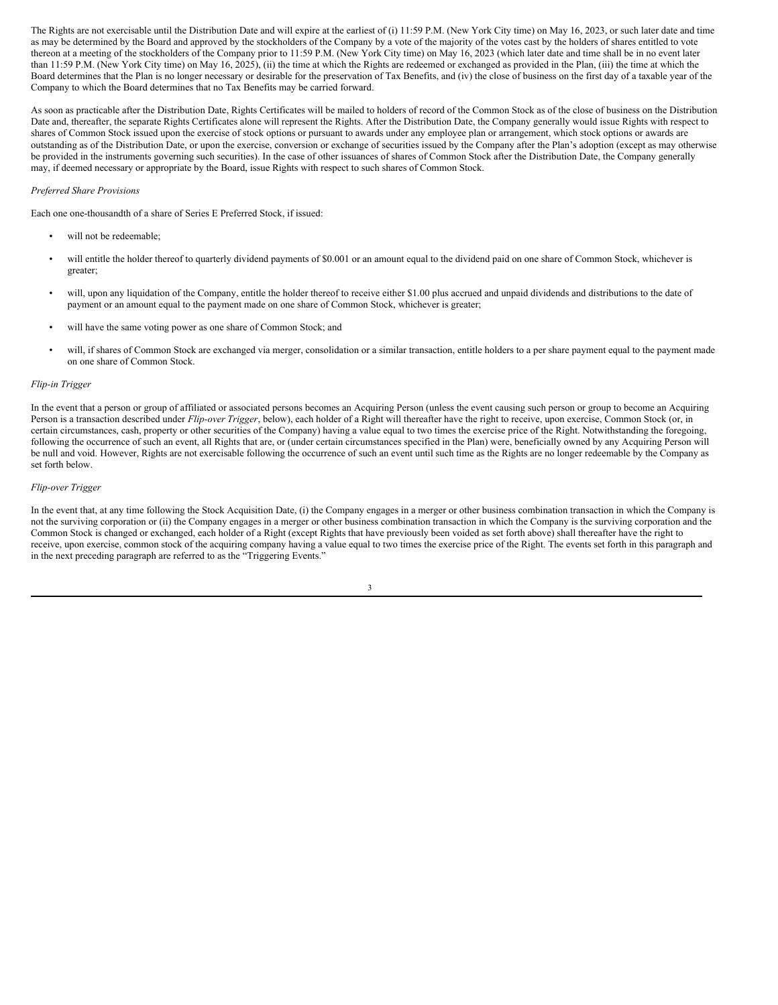The Rights are not exercisable until the Distribution Date and will expire at the earliest of (i) 11:59 P.M. (New York City time) on May 16, 2023, or such later date and time as may be determined by the Board and approved by the stockholders of the Company by a vote of the majority of the votes cast by the holders of shares entitled to vote thereon at a meeting of the stockholders of the Company prior to 11:59 P.M. (New York City time) on May 16, 2023 (which later date and time shall be in no event later than 11:59 P.M. (New York City time) on May 16, 2025), (ii) the time at which the Rights are redeemed or exchanged as provided in the Plan, (iii) the time at which the Board determines that the Plan is no longer necessary or desirable for the preservation of Tax Benefits, and (iv) the close of business on the first day of a taxable year of the Company to which the Board determines that no Tax Benefits may be carried forward.

As soon as practicable after the Distribution Date, Rights Certificates will be mailed to holders of record of the Common Stock as of the close of business on the Distribution Date and, thereafter, the separate Rights Certificates alone will represent the Rights. After the Distribution Date, the Company generally would issue Rights with respect to shares of Common Stock issued upon the exercise of stock options or pursuant to awards under any employee plan or arrangement, which stock options or awards are outstanding as of the Distribution Date, or upon the exercise, conversion or exchange of securities issued by the Company after the Plan's adoption (except as may otherwise be provided in the instruments governing such securities). In the case of other issuances of shares of Common Stock after the Distribution Date, the Company generally may, if deemed necessary or appropriate by the Board, issue Rights with respect to such shares of Common Stock.

#### *Preferred Share Provisions*

Each one one-thousandth of a share of Series E Preferred Stock, if issued:

- will not be redeemable;
- will entitle the holder thereof to quarterly dividend payments of \$0.001 or an amount equal to the dividend paid on one share of Common Stock, whichever is greater;
- will, upon any liquidation of the Company, entitle the holder thereof to receive either \$1.00 plus accrued and unpaid dividends and distributions to the date of payment or an amount equal to the payment made on one share of Common Stock, whichever is greater;
- will have the same voting power as one share of Common Stock; and
- will, if shares of Common Stock are exchanged via merger, consolidation or a similar transaction, entitle holders to a per share payment equal to the payment made on one share of Common Stock.

#### *Flip-in Trigger*

In the event that a person or group of affiliated or associated persons becomes an Acquiring Person (unless the event causing such person or group to become an Acquiring Person is a transaction described under *Flip-over Trigger*, below), each holder of a Right will thereafter have the right to receive, upon exercise, Common Stock (or, in certain circumstances, cash, property or other securities of the Company) having a value equal to two times the exercise price of the Right. Notwithstanding the foregoing, following the occurrence of such an event, all Rights that are, or (under certain circumstances specified in the Plan) were, beneficially owned by any Acquiring Person will be null and void. However, Rights are not exercisable following the occurrence of such an event until such time as the Rights are no longer redeemable by the Company as set forth below.

#### *Flip-over Trigger*

In the event that, at any time following the Stock Acquisition Date, (i) the Company engages in a merger or other business combination transaction in which the Company is not the surviving corporation or (ii) the Company engages in a merger or other business combination transaction in which the Company is the surviving corporation and the Common Stock is changed or exchanged, each holder of a Right (except Rights that have previously been voided as set forth above) shall thereafter have the right to receive, upon exercise, common stock of the acquiring company having a value equal to two times the exercise price of the Right. The events set forth in this paragraph and in the next preceding paragraph are referred to as the "Triggering Events."

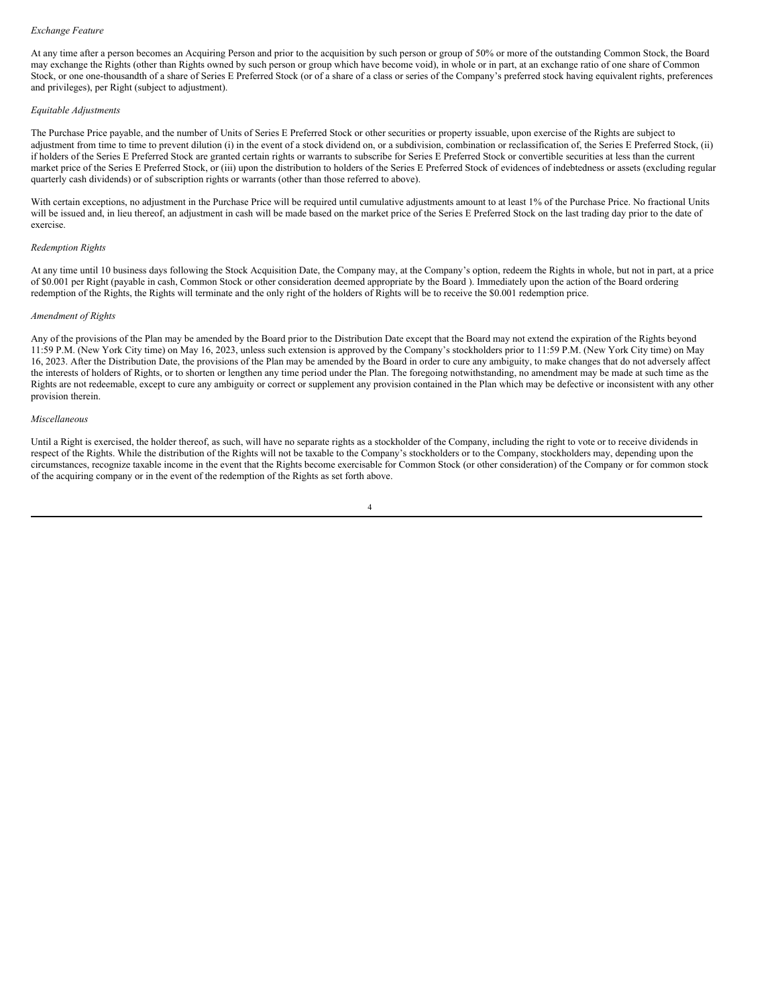#### *Exchange Feature*

At any time after a person becomes an Acquiring Person and prior to the acquisition by such person or group of 50% or more of the outstanding Common Stock, the Board may exchange the Rights (other than Rights owned by such person or group which have become void), in whole or in part, at an exchange ratio of one share of Common Stock, or one one-thousandth of a share of Series E Preferred Stock (or of a share of a class or series of the Company's preferred stock having equivalent rights, preferences and privileges), per Right (subject to adjustment).

## *Equitable Adjustments*

The Purchase Price payable, and the number of Units of Series E Preferred Stock or other securities or property issuable, upon exercise of the Rights are subject to adjustment from time to time to prevent dilution (i) in the event of a stock dividend on, or a subdivision, combination or reclassification of, the Series E Preferred Stock, (ii) if holders of the Series E Preferred Stock are granted certain rights or warrants to subscribe for Series E Preferred Stock or convertible securities at less than the current market price of the Series E Preferred Stock, or (iii) upon the distribution to holders of the Series E Preferred Stock of evidences of indebtedness or assets (excluding regular quarterly cash dividends) or of subscription rights or warrants (other than those referred to above).

With certain exceptions, no adjustment in the Purchase Price will be required until cumulative adjustments amount to at least 1% of the Purchase Price. No fractional Units will be issued and, in lieu thereof, an adjustment in cash will be made based on the market price of the Series E Preferred Stock on the last trading day prior to the date of exercise.

### *Redemption Rights*

At any time until 10 business days following the Stock Acquisition Date, the Company may, at the Company's option, redeem the Rights in whole, but not in part, at a price of \$0.001 per Right (payable in cash, Common Stock or other consideration deemed appropriate by the Board ). Immediately upon the action of the Board ordering redemption of the Rights, the Rights will terminate and the only right of the holders of Rights will be to receive the \$0.001 redemption price.

#### *Amendment of Rights*

Any of the provisions of the Plan may be amended by the Board prior to the Distribution Date except that the Board may not extend the expiration of the Rights beyond 11:59 P.M. (New York City time) on May 16, 2023, unless such extension is approved by the Company's stockholders prior to 11:59 P.M. (New York City time) on May 16, 2023. After the Distribution Date, the provisions of the Plan may be amended by the Board in order to cure any ambiguity, to make changes that do not adversely affect the interests of holders of Rights, or to shorten or lengthen any time period under the Plan. The foregoing notwithstanding, no amendment may be made at such time as the Rights are not redeemable, except to cure any ambiguity or correct or supplement any provision contained in the Plan which may be defective or inconsistent with any other provision therein.

## *Miscellaneous*

Until a Right is exercised, the holder thereof, as such, will have no separate rights as a stockholder of the Company, including the right to vote or to receive dividends in respect of the Rights. While the distribution of the Rights will not be taxable to the Company's stockholders or to the Company, stockholders may, depending upon the circumstances, recognize taxable income in the event that the Rights become exercisable for Common Stock (or other consideration) of the Company or for common stock of the acquiring company or in the event of the redemption of the Rights as set forth above.

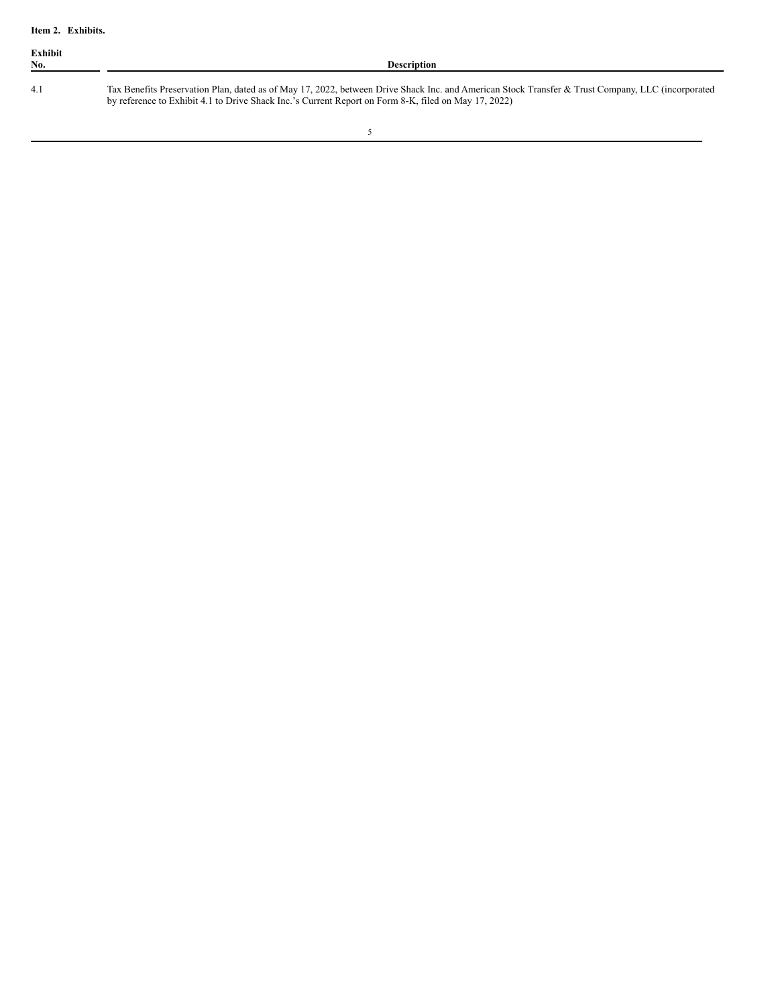| Exhibit<br>No. | <b>Description</b>                                                                                                                                                                                                                                        |
|----------------|-----------------------------------------------------------------------------------------------------------------------------------------------------------------------------------------------------------------------------------------------------------|
| 4.1            | Tax Benefits Preservation Plan, dated as of May 17, 2022, between Drive Shack Inc. and American Stock Transfer & Trust Company, LLC (incorporated<br>by reference to Exhibit 4.1 to Drive Shack Inc.'s Current Report on Form 8-K, filed on May 17, 2022) |

<u> 1989 - Johann Barn, mars ar breithinn ar breithinn ar breithinn ar breithinn ar breithinn ar breithinn ar br</u>